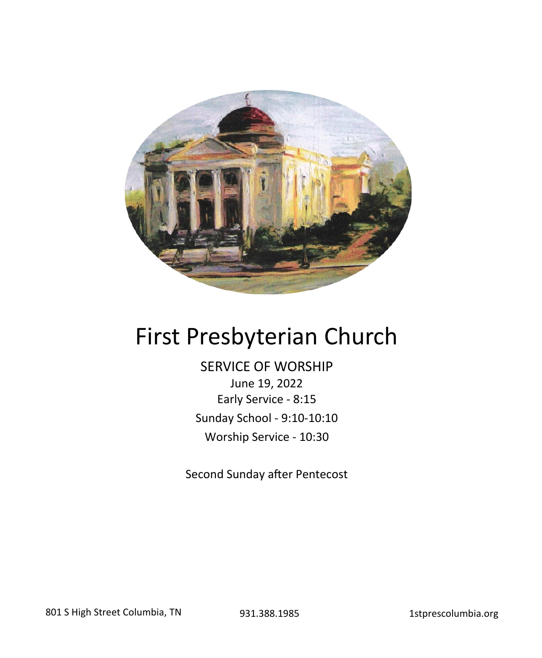

# First Presbyterian Church

SERVICE OF WORSHIP June 19, 2022 Early Service - 8:15 Sunday School - 9:10-10:10 Worship Service - 10:30

Second Sunday after Pentecost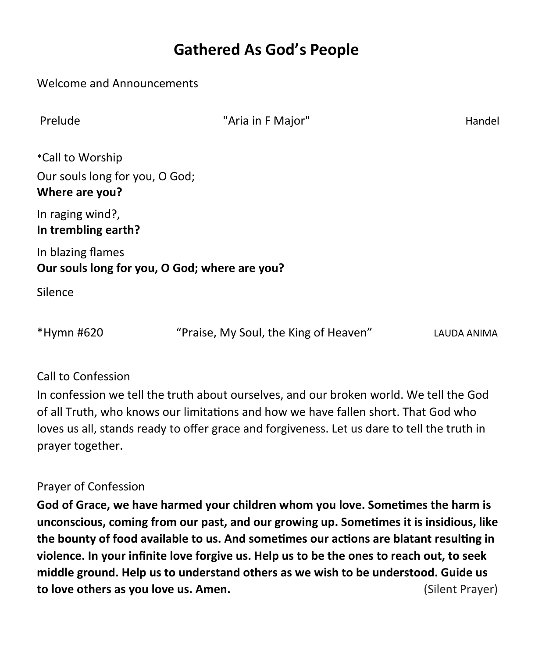# **Gathered As God's People**

| Welcome and Announcements                        |                                               |             |
|--------------------------------------------------|-----------------------------------------------|-------------|
| Prelude                                          | "Aria in F Major"                             | Handel      |
| *Call to Worship                                 |                                               |             |
| Our souls long for you, O God;<br>Where are you? |                                               |             |
| In raging wind?,<br>In trembling earth?          |                                               |             |
| In blazing flames                                | Our souls long for you, O God; where are you? |             |
| Silence                                          |                                               |             |
| *Hymn #620                                       | "Praise, My Soul, the King of Heaven"         | LAUDA ANIMA |

#### Call to Confession

In confession we tell the truth about ourselves, and our broken world. We tell the God of all Truth, who knows our limitations and how we have fallen short. That God who loves us all, stands ready to offer grace and forgiveness. Let us dare to tell the truth in prayer together.

#### Prayer of Confession

**God of Grace, we have harmed your children whom you love. Sometimes the harm is unconscious, coming from our past, and our growing up. Sometimes it is insidious, like the bounty of food available to us. And sometimes our actions are blatant resulting in violence. In your infinite love forgive us. Help us to be the ones to reach out, to seek middle ground. Help us to understand others as we wish to be understood. Guide us to love others as you love us. Amen.** (Silent Prayer)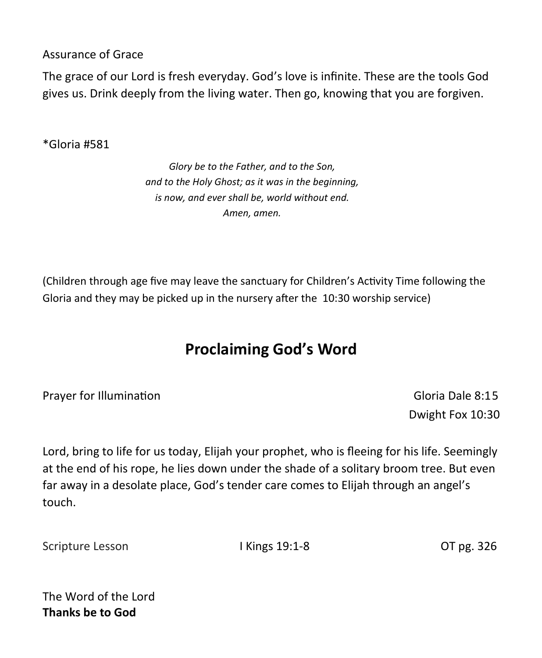Assurance of Grace

The grace of our Lord is fresh everyday. God's love is infinite. These are the tools God gives us. Drink deeply from the living water. Then go, knowing that you are forgiven.

\*Gloria #581

*Glory be to the Father, and to the Son, and to the Holy Ghost; as it was in the beginning, is now, and ever shall be, world without end. Amen, amen.* 

(Children through age five may leave the sanctuary for Children's Activity Time following the Gloria and they may be picked up in the nursery after the 10:30 worship service)

# **Proclaiming God's Word**

Prayer for Illumination **Contract Contract Contract Contract Contract Contract Contract Contract Contract Contract Contract Contract Contract Contract Contract Contract Contract Contract Contract Contract Contract Contract** 

Dwight Fox 10:30

Lord, bring to life for us today, Elijah your prophet, who is fleeing for his life. Seemingly at the end of his rope, he lies down under the shade of a solitary broom tree. But even far away in a desolate place, God's tender care comes to Elijah through an angel's touch.

Scripture Lesson **I Kings 19:1-8** OT pg. 326

The Word of the Lord **Thanks be to God**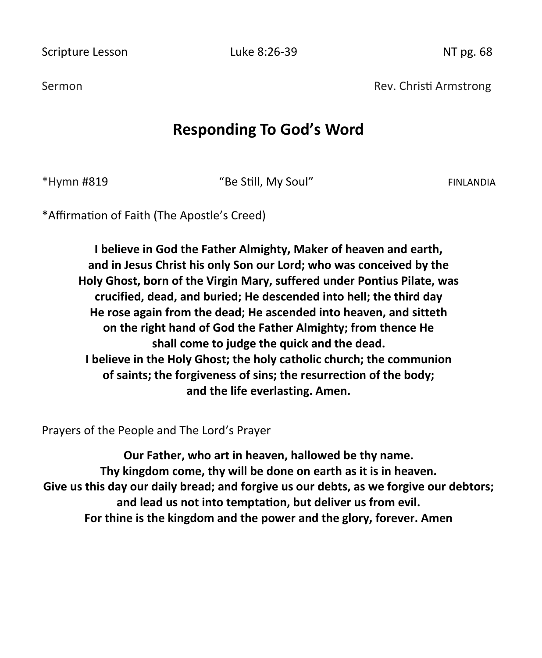Scripture Lesson **Luke 8:26-39** Contract Marsh 2016 Contract Marsh 2016

Sermon **Rev. Christi Armstrong** Rev. Christi Armstrong

## **Responding To God's Word**

\*Hymn #819 "Be Still, My Soul" FINLANDIA

\*Affirmation of Faith (The Apostle's Creed)

**I believe in God the Father Almighty, Maker of heaven and earth, and in Jesus Christ his only Son our Lord; who was conceived by the Holy Ghost, born of the Virgin Mary, suffered under Pontius Pilate, was crucified, dead, and buried; He descended into hell; the third day He rose again from the dead; He ascended into heaven, and sitteth on the right hand of God the Father Almighty; from thence He shall come to judge the quick and the dead. I believe in the Holy Ghost; the holy catholic church; the communion of saints; the forgiveness of sins; the resurrection of the body; and the life everlasting. Amen.**

Prayers of the People and The Lord's Prayer

**Our Father, who art in heaven, hallowed be thy name. Thy kingdom come, thy will be done on earth as it is in heaven. Give us this day our daily bread; and forgive us our debts, as we forgive our debtors; and lead us not into temptation, but deliver us from evil. For thine is the kingdom and the power and the glory, forever. Amen**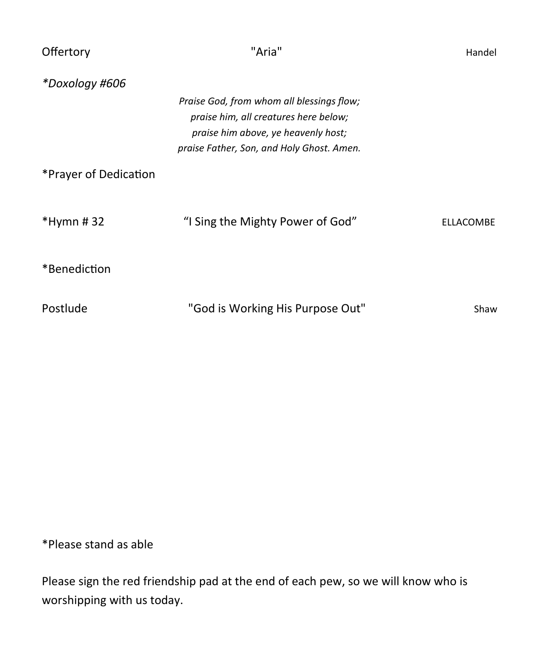| Offertory             | "Aria"                                                                                                                                                                 | Handel    |
|-----------------------|------------------------------------------------------------------------------------------------------------------------------------------------------------------------|-----------|
| *Doxology #606        |                                                                                                                                                                        |           |
|                       | Praise God, from whom all blessings flow;<br>praise him, all creatures here below;<br>praise him above, ye heavenly host;<br>praise Father, Son, and Holy Ghost. Amen. |           |
| *Prayer of Dedication |                                                                                                                                                                        |           |
| $*Hymn #32$           | "I Sing the Mighty Power of God"                                                                                                                                       | ELLACOMBE |
| *Benediction          |                                                                                                                                                                        |           |
| Postlude              | "God is Working His Purpose Out"                                                                                                                                       | Shaw      |

\*Please stand as able

Please sign the red friendship pad at the end of each pew, so we will know who is worshipping with us today.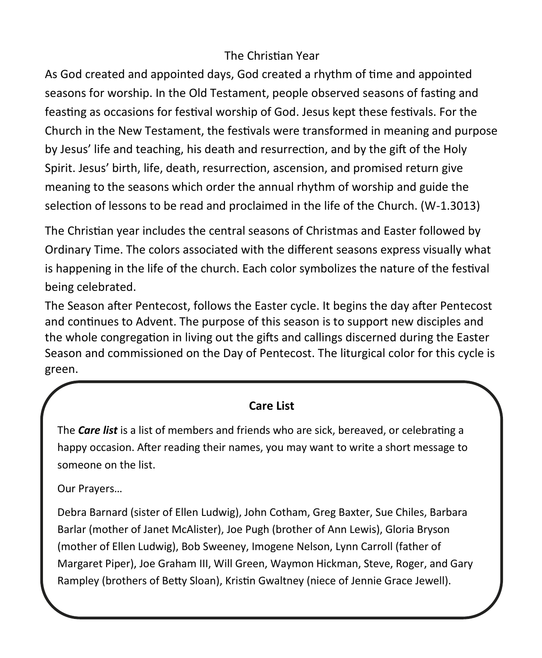## The Christian Year

As God created and appointed days, God created a rhythm of time and appointed seasons for worship. In the Old Testament, people observed seasons of fasting and feasting as occasions for festival worship of God. Jesus kept these festivals. For the Church in the New Testament, the festivals were transformed in meaning and purpose by Jesus' life and teaching, his death and resurrection, and by the gift of the Holy Spirit. Jesus' birth, life, death, resurrection, ascension, and promised return give meaning to the seasons which order the annual rhythm of worship and guide the selection of lessons to be read and proclaimed in the life of the Church. (W-1.3013)

The Christian year includes the central seasons of Christmas and Easter followed by Ordinary Time. The colors associated with the different seasons express visually what is happening in the life of the church. Each color symbolizes the nature of the festival being celebrated.

The Season after Pentecost, follows the Easter cycle. It begins the day after Pentecost and continues to Advent. The purpose of this season is to support new disciples and the whole congregation in living out the gifts and callings discerned during the Easter Season and commissioned on the Day of Pentecost. The liturgical color for this cycle is green.

### **Care List**

The *Care list* is a list of members and friends who are sick, bereaved, or celebrating a happy occasion. After reading their names, you may want to write a short message to someone on the list.

Our Prayers…

Rampley (brothers of Betty Sloan), Kristin Gwaltney (niece of Jennie Grace Jewell). Debra Barnard (sister of Ellen Ludwig), John Cotham, Greg Baxter, Sue Chiles, Barbara Barlar (mother of Janet McAlister), Joe Pugh (brother of Ann Lewis), Gloria Bryson (mother of Ellen Ludwig), Bob Sweeney, Imogene Nelson, Lynn Carroll (father of Margaret Piper), Joe Graham III, Will Green, Waymon Hickman, Steve, Roger, and Gary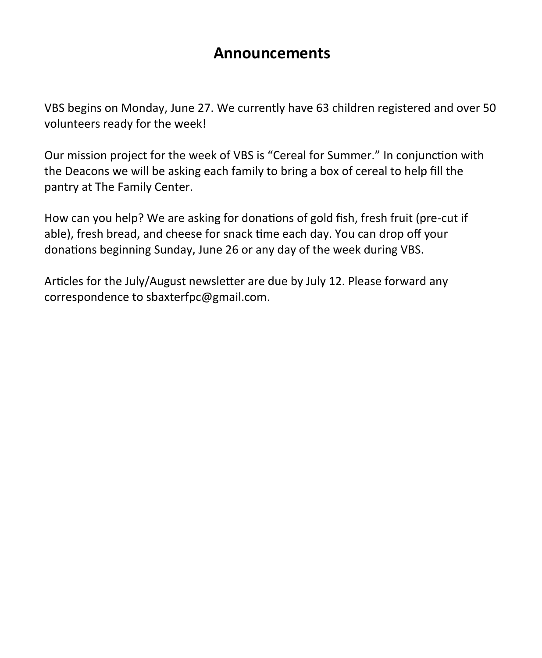## **Announcements**

VBS begins on Monday, June 27. We currently have 63 children registered and over 50 volunteers ready for the week!

Our mission project for the week of VBS is "Cereal for Summer." In conjunction with the Deacons we will be asking each family to bring a box of cereal to help fill the pantry at The Family Center.

How can you help? We are asking for donations of gold fish, fresh fruit (pre-cut if able), fresh bread, and cheese for snack time each day. You can drop off your donations beginning Sunday, June 26 or any day of the week during VBS.

Articles for the July/August newsletter are due by July 12. Please forward any correspondence to sbaxterfpc@gmail.com.